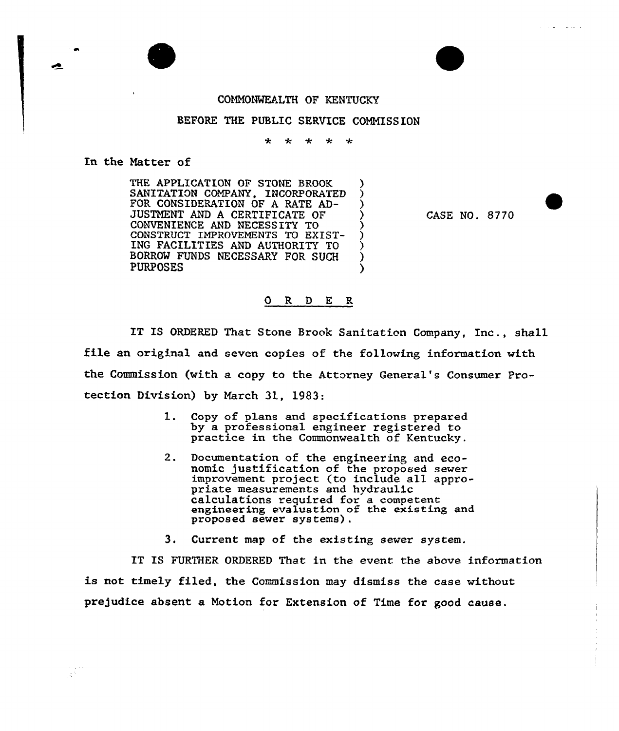## COMMONWEALTH OF KENTUCKY

## BEFORE THE PUBLIC SERVICE COMMISSION

 $\mathbf{r}$ مقد  $\mathbf{r}$ مهہ ا

In the Natter of

 $\frac{1}{2}$  ,  $\frac{1}{2}$  ,  $\frac{1}{2}$ 

THE APPLICATION OF STONE BROOK SANITATION COMPANY, INCORPORATED )<br>FOR CONSIDERATION OF A RATE AD-FOR CONSIDERATION OF A RATE AD-JUSTMENT AND <sup>A</sup> CERTIFICATE OF ) CONVENIENCE AND NECESSITY TO ) CONSTRUCT IMPROVEMENTS TO EXIST-INC FACILITIES AND AUTHORITY TO ) BORROW FUNDS NECESSARY FOR SUCH ) **PURPOSES** 

CASE NO. 8?70

## ORDER

IT IS ORDERED That Stone Brook Sanitation Company, Inc., shall file an original and seven copies of the following information with the Commission (with a copy to the Attorney General's Consumer Protection Division) by March 31, 1983:

- 1. Copy of plans and specifications prepared<br>by a professional engineer registered to practice in the Commonwealth of Kentucky.
- 2. Documentation of the engineering and economic justification of the proposed sewer improvement project (to include all appro- priate measurements and hydraulic calculations required for a competent engineering evaluation of the existing and proposed sewer systems).
- 3. Current map of the existing sever system.

IT IS FURTHER ORDERED That in the event the above information is not timely filed, the Commission may dismiss the case without prejudice absent a Notion for Extension of Time for good cause.